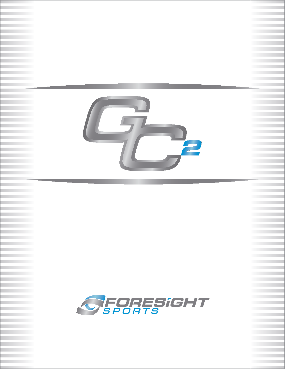

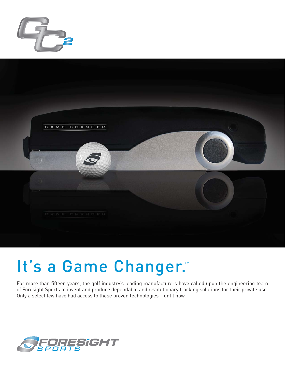



## It's a Game Changer.™

For more than fifteen years, the golf industry's leading manufacturers have called upon the engineering team of Foresight Sports to invent and produce dependable and revolutionary tracking solutions for their private use. Only a select few have had access to these proven technologies – until now.

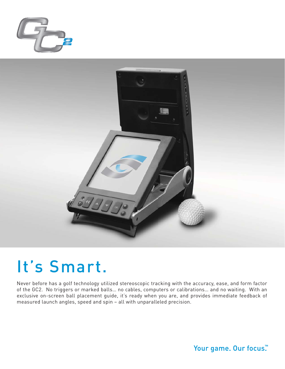



#### It's Smart.

Never before has a golf technology utilized stereoscopic tracking with the accuracy, ease, and form factor of the GC2. No triggers or marked balls… no cables, computers or calibrations… and no waiting. With an exclusive on-screen ball placement guide, it's ready when you are, and provides immediate feedback of measured launch angles, speed and spin – all with unparalleled precision.

Your game. Our focus.™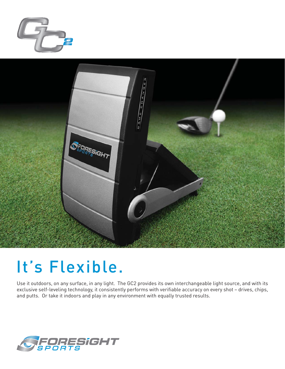



## It's Flexible.

Use it outdoors, on any surface, in any light. The GC2 provides its own interchangeable light source, and with its exclusive self-leveling technology, it consistently performs with verifiable accuracy on every shot - drives, chips, and putts. Or take it indoors and play in any environment with equally trusted results.

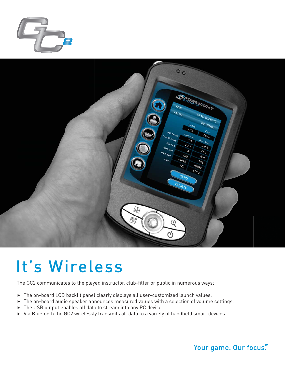



## It's Wireless

The GC2 communicates to the player, instructor, club-fitter or public in numerous ways:

- $\triangleright$  The on-board LCD backlit panel clearly displays all user-customized launch values.
- $\blacktriangleright$  The on-board audio speaker announces measured values with a selection of volume settings.
- $\triangleright$  The USB output enables all data to stream into any PC device.
- $\blacktriangleright$  Via Bluetooth the GC2 wirelessly transmits all data to a variety of handheld smart devices.

#### Your game. Our focus.™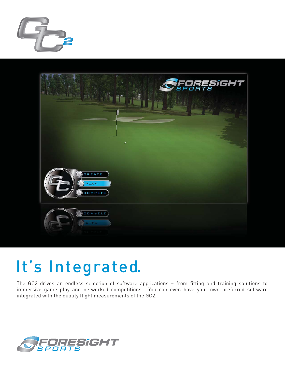



# It's Integrated.

The GC2 drives an endless selection of software applications – from fitting and training solutions to immersive game play and networked competitions. You can even have your own preferred software integrated with the quality flight measurements of the GC2.

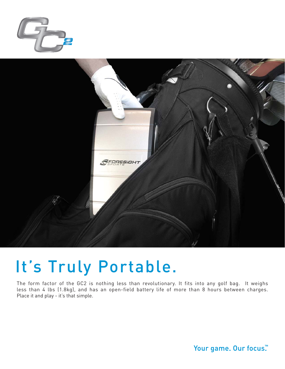



## It's Truly Portable.

The form factor of the GC2 is nothing less than revolutionary. It fits into any golf bag. It weighs less than 4 lbs (1.8kg), and has an open-field battery life of more than 8 hours between charges. Place it and play - it's that simple.

Your game. Our focus.™